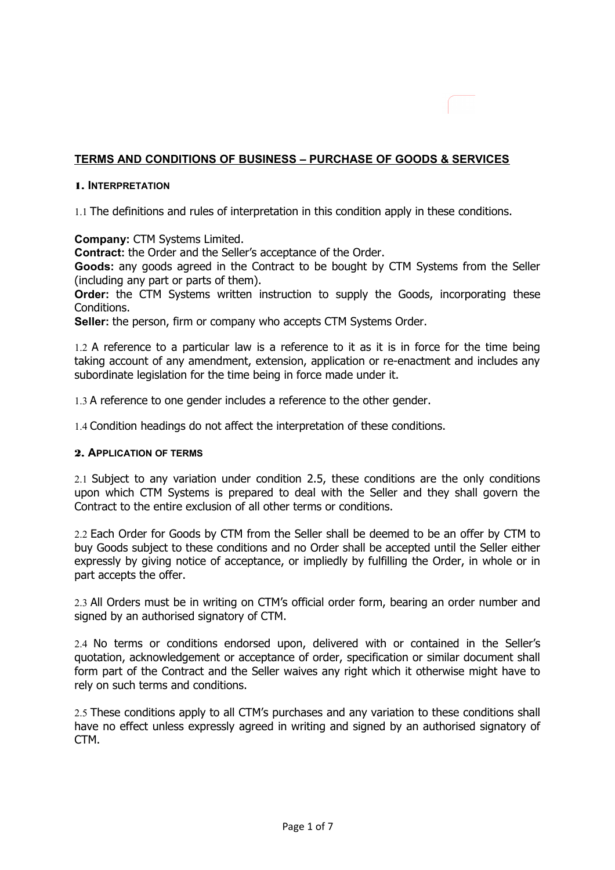# **TERMS AND CONDITIONS OF BUSINESS – PURCHASE OF GOODS & SERVICES**

## 1. **INTERPRETATION**

1.1 The definitions and rules of interpretation in this condition apply in these conditions.

**Company:** CTM Systems Limited.

**Contract:** the Order and the Seller's acceptance of the Order.

**Goods:** any goods agreed in the Contract to be bought by CTM Systems from the Seller (including any part or parts of them).

**Order:** the CTM Systems written instruction to supply the Goods, incorporating these Conditions.

**Seller:** the person, firm or company who accepts CTM Systems Order.

1.2 A reference to a particular law is a reference to it as it is in force for the time being taking account of any amendment, extension, application or re-enactment and includes any subordinate legislation for the time being in force made under it.

1.3 A reference to one gender includes a reference to the other gender.

1.4 Condition headings do not affect the interpretation of these conditions.

#### 2. **APPLICATION OF TERMS**

2.1 Subject to any variation under condition 2.5, these conditions are the only conditions upon which CTM Systems is prepared to deal with the Seller and they shall govern the Contract to the entire exclusion of all other terms or conditions.

2.2 Each Order for Goods by CTM from the Seller shall be deemed to be an offer by CTM to buy Goods subject to these conditions and no Order shall be accepted until the Seller either expressly by giving notice of acceptance, or impliedly by fulfilling the Order, in whole or in part accepts the offer.

2.3 All Orders must be in writing on CTM's official order form, bearing an order number and signed by an authorised signatory of CTM.

2.4 No terms or conditions endorsed upon, delivered with or contained in the Seller's quotation, acknowledgement or acceptance of order, specification or similar document shall form part of the Contract and the Seller waives any right which it otherwise might have to rely on such terms and conditions.

2.5 These conditions apply to all CTM's purchases and any variation to these conditions shall have no effect unless expressly agreed in writing and signed by an authorised signatory of CTM.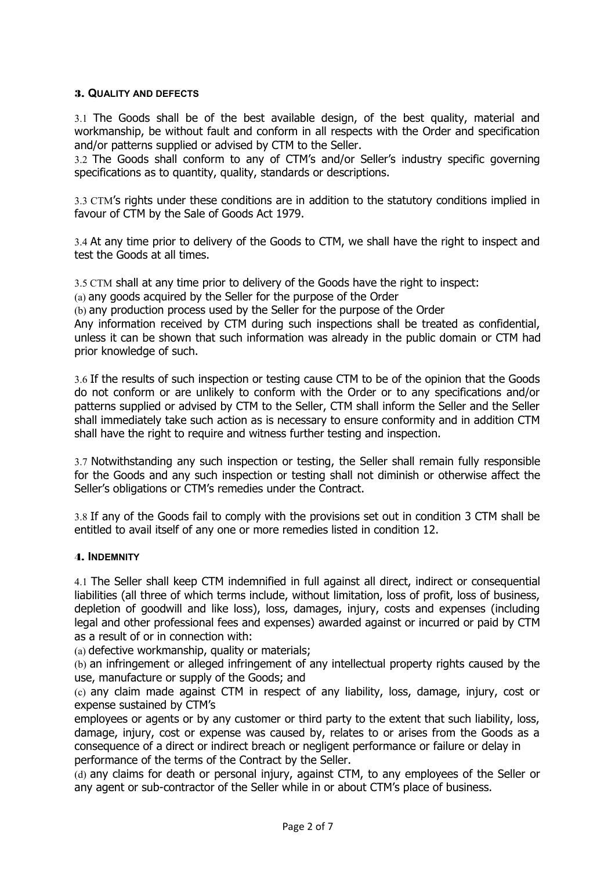## 3. **QUALITY AND DEFECTS**

3.1 The Goods shall be of the best available design, of the best quality, material and workmanship, be without fault and conform in all respects with the Order and specification and/or patterns supplied or advised by CTM to the Seller.

3.2 The Goods shall conform to any of CTM's and/or Seller's industry specific governing specifications as to quantity, quality, standards or descriptions.

3.3 CTM's rights under these conditions are in addition to the statutory conditions implied in favour of CTM by the Sale of Goods Act 1979.

3.4 At any time prior to delivery of the Goods to CTM, we shall have the right to inspect and test the Goods at all times.

3.5 CTM shall at any time prior to delivery of the Goods have the right to inspect:

(a) any goods acquired by the Seller for the purpose of the Order

(b) any production process used by the Seller for the purpose of the Order

Any information received by CTM during such inspections shall be treated as confidential, unless it can be shown that such information was already in the public domain or CTM had prior knowledge of such.

3.6 If the results of such inspection or testing cause CTM to be of the opinion that the Goods do not conform or are unlikely to conform with the Order or to any specifications and/or patterns supplied or advised by CTM to the Seller, CTM shall inform the Seller and the Seller shall immediately take such action as is necessary to ensure conformity and in addition CTM shall have the right to require and witness further testing and inspection.

3.7 Notwithstanding any such inspection or testing, the Seller shall remain fully responsible for the Goods and any such inspection or testing shall not diminish or otherwise affect the Seller's obligations or CTM's remedies under the Contract.

3.8 If any of the Goods fail to comply with the provisions set out in condition 3 CTM shall be entitled to avail itself of any one or more remedies listed in condition 12.

## 4. **INDEMNITY**

4.1 The Seller shall keep CTM indemnified in full against all direct, indirect or consequential liabilities (all three of which terms include, without limitation, loss of profit, loss of business, depletion of goodwill and like loss), loss, damages, injury, costs and expenses (including legal and other professional fees and expenses) awarded against or incurred or paid by CTM as a result of or in connection with:

(a) defective workmanship, quality or materials;

(b) an infringement or alleged infringement of any intellectual property rights caused by the use, manufacture or supply of the Goods; and

(c) any claim made against CTM in respect of any liability, loss, damage, injury, cost or expense sustained by CTM's

employees or agents or by any customer or third party to the extent that such liability, loss, damage, injury, cost or expense was caused by, relates to or arises from the Goods as a consequence of a direct or indirect breach or negligent performance or failure or delay in performance of the terms of the Contract by the Seller.

(d) any claims for death or personal injury, against CTM, to any employees of the Seller or any agent or sub-contractor of the Seller while in or about CTM's place of business.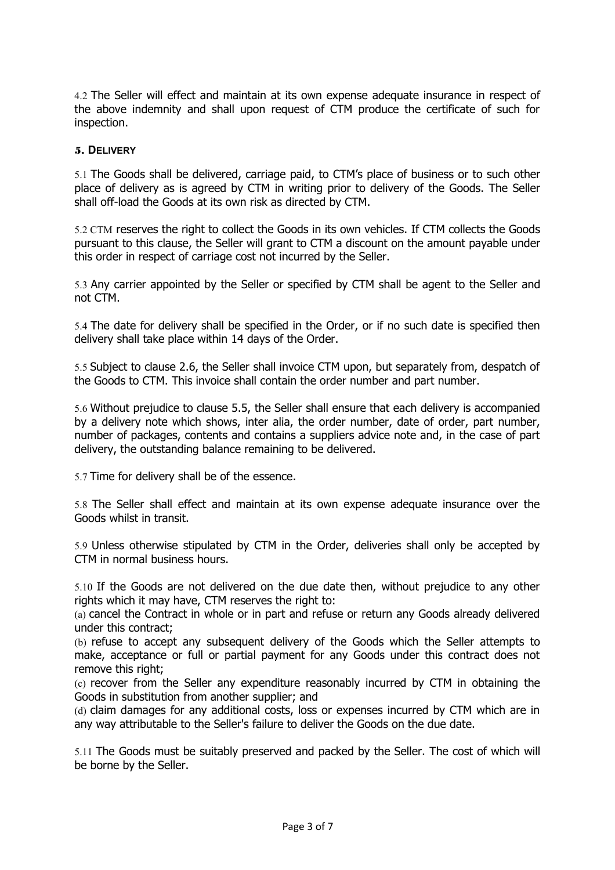4.2 The Seller will effect and maintain at its own expense adequate insurance in respect of the above indemnity and shall upon request of CTM produce the certificate of such for inspection.

#### 5. **DELIVERY**

5.1 The Goods shall be delivered, carriage paid, to CTM's place of business or to such other place of delivery as is agreed by CTM in writing prior to delivery of the Goods. The Seller shall off-load the Goods at its own risk as directed by CTM.

5.2 CTM reserves the right to collect the Goods in its own vehicles. If CTM collects the Goods pursuant to this clause, the Seller will grant to CTM a discount on the amount payable under this order in respect of carriage cost not incurred by the Seller.

5.3 Any carrier appointed by the Seller or specified by CTM shall be agent to the Seller and not CTM.

5.4 The date for delivery shall be specified in the Order, or if no such date is specified then delivery shall take place within 14 days of the Order.

5.5 Subject to clause 2.6, the Seller shall invoice CTM upon, but separately from, despatch of the Goods to CTM. This invoice shall contain the order number and part number.

5.6 Without prejudice to clause 5.5, the Seller shall ensure that each delivery is accompanied by a delivery note which shows, inter alia, the order number, date of order, part number, number of packages, contents and contains a suppliers advice note and, in the case of part delivery, the outstanding balance remaining to be delivered.

5.7 Time for delivery shall be of the essence.

5.8 The Seller shall effect and maintain at its own expense adequate insurance over the Goods whilst in transit.

5.9 Unless otherwise stipulated by CTM in the Order, deliveries shall only be accepted by CTM in normal business hours.

5.10 If the Goods are not delivered on the due date then, without prejudice to any other rights which it may have, CTM reserves the right to:

(a) cancel the Contract in whole or in part and refuse or return any Goods already delivered under this contract;

(b) refuse to accept any subsequent delivery of the Goods which the Seller attempts to make, acceptance or full or partial payment for any Goods under this contract does not remove this right;

(c) recover from the Seller any expenditure reasonably incurred by CTM in obtaining the Goods in substitution from another supplier; and

(d) claim damages for any additional costs, loss or expenses incurred by CTM which are in any way attributable to the Seller's failure to deliver the Goods on the due date.

5.11 The Goods must be suitably preserved and packed by the Seller. The cost of which will be borne by the Seller.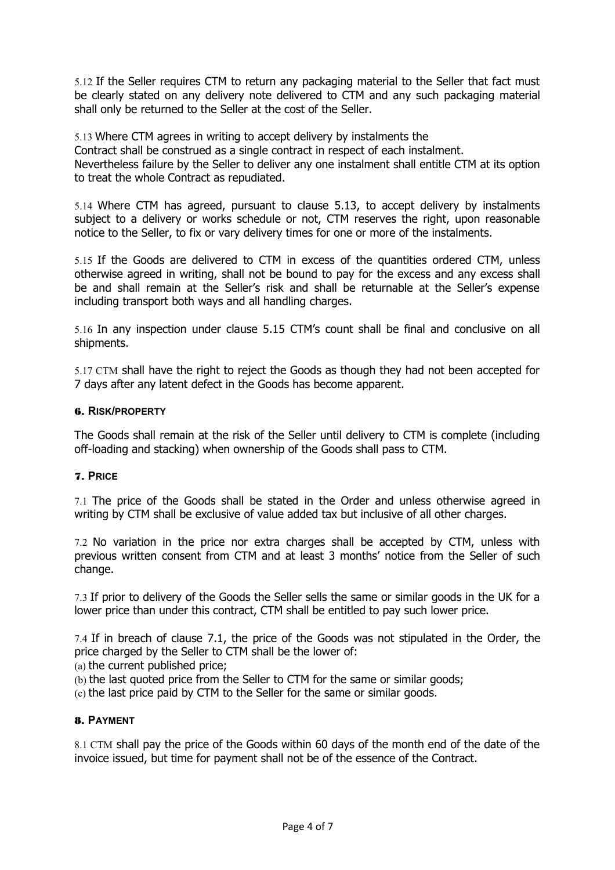5.12 If the Seller requires CTM to return any packaging material to the Seller that fact must be clearly stated on any delivery note delivered to CTM and any such packaging material shall only be returned to the Seller at the cost of the Seller.

5.13 Where CTM agrees in writing to accept delivery by instalments the Contract shall be construed as a single contract in respect of each instalment. Nevertheless failure by the Seller to deliver any one instalment shall entitle CTM at its option to treat the whole Contract as repudiated.

5.14 Where CTM has agreed, pursuant to clause 5.13, to accept delivery by instalments subject to a delivery or works schedule or not, CTM reserves the right, upon reasonable notice to the Seller, to fix or vary delivery times for one or more of the instalments.

5.15 If the Goods are delivered to CTM in excess of the quantities ordered CTM, unless otherwise agreed in writing, shall not be bound to pay for the excess and any excess shall be and shall remain at the Seller's risk and shall be returnable at the Seller's expense including transport both ways and all handling charges.

5.16 In any inspection under clause 5.15 CTM's count shall be final and conclusive on all shipments.

5.17 CTM shall have the right to reject the Goods as though they had not been accepted for 7 days after any latent defect in the Goods has become apparent.

## 6. **RISK/PROPERTY**

The Goods shall remain at the risk of the Seller until delivery to CTM is complete (including off-loading and stacking) when ownership of the Goods shall pass to CTM.

## 7. **PRICE**

7.1 The price of the Goods shall be stated in the Order and unless otherwise agreed in writing by CTM shall be exclusive of value added tax but inclusive of all other charges.

7.2 No variation in the price nor extra charges shall be accepted by CTM, unless with previous written consent from CTM and at least 3 months' notice from the Seller of such change.

7.3 If prior to delivery of the Goods the Seller sells the same or similar goods in the UK for a lower price than under this contract, CTM shall be entitled to pay such lower price.

7.4 If in breach of clause 7.1, the price of the Goods was not stipulated in the Order, the price charged by the Seller to CTM shall be the lower of:

(a) the current published price;

(b) the last quoted price from the Seller to CTM for the same or similar goods;

(c) the last price paid by CTM to the Seller for the same or similar goods.

## 8. **PAYMENT**

8.1 CTM shall pay the price of the Goods within 60 days of the month end of the date of the invoice issued, but time for payment shall not be of the essence of the Contract.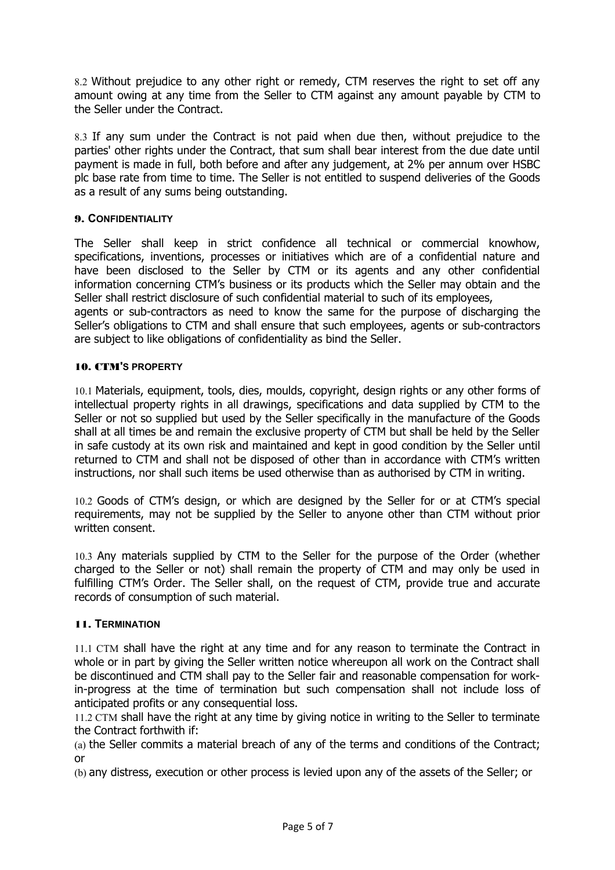8.2 Without prejudice to any other right or remedy, CTM reserves the right to set off any amount owing at any time from the Seller to CTM against any amount payable by CTM to the Seller under the Contract.

8.3 If any sum under the Contract is not paid when due then, without prejudice to the parties' other rights under the Contract, that sum shall bear interest from the due date until payment is made in full, both before and after any judgement, at 2% per annum over HSBC plc base rate from time to time. The Seller is not entitled to suspend deliveries of the Goods as a result of any sums being outstanding.

# 9. **CONFIDENTIALITY**

The Seller shall keep in strict confidence all technical or commercial knowhow, specifications, inventions, processes or initiatives which are of a confidential nature and have been disclosed to the Seller by CTM or its agents and any other confidential information concerning CTM's business or its products which the Seller may obtain and the Seller shall restrict disclosure of such confidential material to such of its employees,

agents or sub-contractors as need to know the same for the purpose of discharging the Seller's obligations to CTM and shall ensure that such employees, agents or sub-contractors are subject to like obligations of confidentiality as bind the Seller.

# 10. CTM**'S PROPERTY**

10.1 Materials, equipment, tools, dies, moulds, copyright, design rights or any other forms of intellectual property rights in all drawings, specifications and data supplied by CTM to the Seller or not so supplied but used by the Seller specifically in the manufacture of the Goods shall at all times be and remain the exclusive property of CTM but shall be held by the Seller in safe custody at its own risk and maintained and kept in good condition by the Seller until returned to CTM and shall not be disposed of other than in accordance with CTM's written instructions, nor shall such items be used otherwise than as authorised by CTM in writing.

10.2 Goods of CTM's design, or which are designed by the Seller for or at CTM's special requirements, may not be supplied by the Seller to anyone other than CTM without prior written consent.

10.3 Any materials supplied by CTM to the Seller for the purpose of the Order (whether charged to the Seller or not) shall remain the property of CTM and may only be used in fulfilling CTM's Order. The Seller shall, on the request of CTM, provide true and accurate records of consumption of such material.

## 11. **TERMINATION**

11.1 CTM shall have the right at any time and for any reason to terminate the Contract in whole or in part by giving the Seller written notice whereupon all work on the Contract shall be discontinued and CTM shall pay to the Seller fair and reasonable compensation for workin-progress at the time of termination but such compensation shall not include loss of anticipated profits or any consequential loss.

11.2 CTM shall have the right at any time by giving notice in writing to the Seller to terminate the Contract forthwith if:

(a) the Seller commits a material breach of any of the terms and conditions of the Contract; or

(b) any distress, execution or other process is levied upon any of the assets of the Seller; or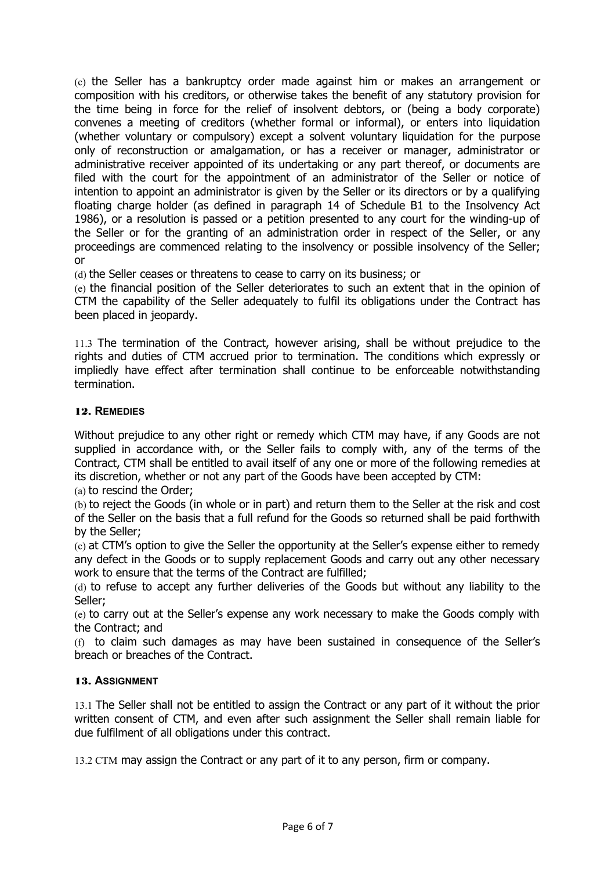(c) the Seller has a bankruptcy order made against him or makes an arrangement or composition with his creditors, or otherwise takes the benefit of any statutory provision for the time being in force for the relief of insolvent debtors, or (being a body corporate) convenes a meeting of creditors (whether formal or informal), or enters into liquidation (whether voluntary or compulsory) except a solvent voluntary liquidation for the purpose only of reconstruction or amalgamation, or has a receiver or manager, administrator or administrative receiver appointed of its undertaking or any part thereof, or documents are filed with the court for the appointment of an administrator of the Seller or notice of intention to appoint an administrator is given by the Seller or its directors or by a qualifying floating charge holder (as defined in paragraph 14 of Schedule B1 to the Insolvency Act 1986), or a resolution is passed or a petition presented to any court for the winding-up of the Seller or for the granting of an administration order in respect of the Seller, or any proceedings are commenced relating to the insolvency or possible insolvency of the Seller; or

(d) the Seller ceases or threatens to cease to carry on its business; or

(e) the financial position of the Seller deteriorates to such an extent that in the opinion of CTM the capability of the Seller adequately to fulfil its obligations under the Contract has been placed in jeopardy.

11.3 The termination of the Contract, however arising, shall be without prejudice to the rights and duties of CTM accrued prior to termination. The conditions which expressly or impliedly have effect after termination shall continue to be enforceable notwithstanding termination.

# 12. **REMEDIES**

Without prejudice to any other right or remedy which CTM may have, if any Goods are not supplied in accordance with, or the Seller fails to comply with, any of the terms of the Contract, CTM shall be entitled to avail itself of any one or more of the following remedies at its discretion, whether or not any part of the Goods have been accepted by CTM:

(a) to rescind the Order;

(b) to reject the Goods (in whole or in part) and return them to the Seller at the risk and cost of the Seller on the basis that a full refund for the Goods so returned shall be paid forthwith by the Seller;

(c) at CTM's option to give the Seller the opportunity at the Seller's expense either to remedy any defect in the Goods or to supply replacement Goods and carry out any other necessary work to ensure that the terms of the Contract are fulfilled;

(d) to refuse to accept any further deliveries of the Goods but without any liability to the Seller;

(e) to carry out at the Seller's expense any work necessary to make the Goods comply with the Contract; and

(f) to claim such damages as may have been sustained in consequence of the Seller's breach or breaches of the Contract.

## 13. **ASSIGNMENT**

13.1 The Seller shall not be entitled to assign the Contract or any part of it without the prior written consent of CTM, and even after such assignment the Seller shall remain liable for due fulfilment of all obligations under this contract.

13.2 CTM may assign the Contract or any part of it to any person, firm or company.